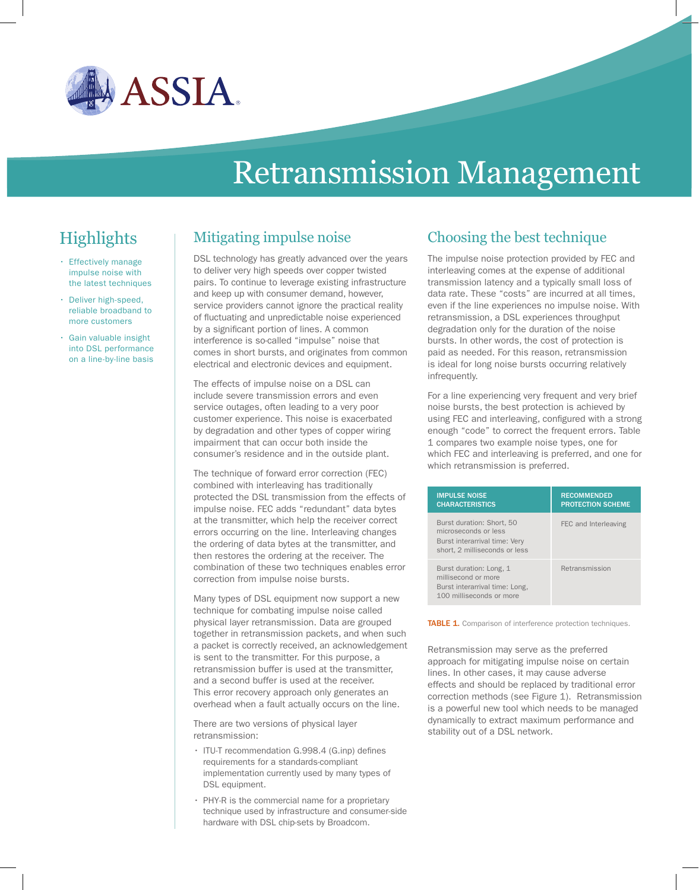

# Retransmission Management

# **Highlights**

- • Effectively manage impulse noise with the latest techniques
- Deliver high-speed, reliable broadband to more customers
- Gain valuable insight into DSL performance on a line-by-line basis

#### Mitigating impulse noise

DSL technology has greatly advanced over the years to deliver very high speeds over copper twisted pairs. To continue to leverage existing infrastructure and keep up with consumer demand, however, service providers cannot ignore the practical reality of fluctuating and unpredictable noise experienced by a significant portion of lines. A common interference is so-called "impulse" noise that comes in short bursts, and originates from common electrical and electronic devices and equipment.

The effects of impulse noise on a DSL can include severe transmission errors and even service outages, often leading to a very poor customer experience. This noise is exacerbated by degradation and other types of copper wiring impairment that can occur both inside the consumer's residence and in the outside plant.

The technique of forward error correction (FEC) combined with interleaving has traditionally protected the DSL transmission from the effects of impulse noise. FEC adds "redundant" data bytes at the transmitter, which help the receiver correct errors occurring on the line. Interleaving changes the ordering of data bytes at the transmitter, and then restores the ordering at the receiver. The combination of these two techniques enables error correction from impulse noise bursts.

Many types of DSL equipment now support a new technique for combating impulse noise called physical layer retransmission. Data are grouped together in retransmission packets, and when such a packet is correctly received, an acknowledgement is sent to the transmitter. For this purpose, a retransmission buffer is used at the transmitter, and a second buffer is used at the receiver. This error recovery approach only generates an overhead when a fault actually occurs on the line.

There are two versions of physical layer retransmission:

- $\cdot$  ITU-T recommendation G.998.4 (G.inp) defines requirements for a standards-compliant implementation currently used by many types of DSL equipment.
- PHY-R is the commercial name for a proprietary technique used by infrastructure and consumer-side hardware with DSL chip-sets by Broadcom.

## Choosing the best technique

The impulse noise protection provided by FEC and interleaving comes at the expense of additional transmission latency and a typically small loss of data rate. These "costs" are incurred at all times, even if the line experiences no impulse noise. With retransmission, a DSL experiences throughput degradation only for the duration of the noise bursts. In other words, the cost of protection is paid as needed. For this reason, retransmission is ideal for long noise bursts occurring relatively infrequently.

For a line experiencing very frequent and very brief noise bursts, the best protection is achieved by using FEC and interleaving, configured with a strong enough "code" to correct the frequent errors. Table 1 compares two example noise types, one for which FEC and interleaving is preferred, and one for which retransmission is preferred.

| <b>IMPULSE NOISE</b><br><b>CHARACTERISTICS</b>                                                                      | <b>RECOMMENDED</b><br><b>PROTECTION SCHEME</b> |
|---------------------------------------------------------------------------------------------------------------------|------------------------------------------------|
| Burst duration: Short, 50<br>microseconds or less<br>Burst interarrival time: Very<br>short, 2 milliseconds or less | FEC and Interleaving                           |
| Burst duration: Long, 1<br>millisecond or more<br>Burst interarrival time: Long.<br>100 milliseconds or more        | Retransmission                                 |

TABLE 1. Comparison of interference protection techniques.

Retransmission may serve as the preferred approach for mitigating impulse noise on certain lines. In other cases, it may cause adverse effects and should be replaced by traditional error correction methods (see Figure 1). Retransmission is a powerful new tool which needs to be managed dynamically to extract maximum performance and stability out of a DSL network.